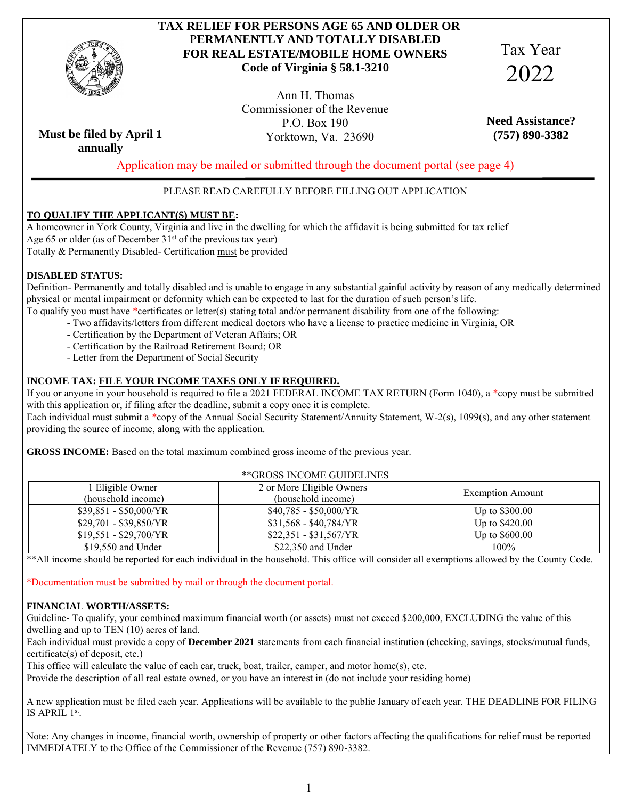

# **TAX RELIEF FOR PERSONS AGE 65 AND OLDER OR** P**ERMANENTLY AND TOTALLY DISABLED FOR REAL ESTATE/MOBILE HOME OWNERS Code of Virginia § 58.1-3210**

Tax Year 2022

Ann H. Thomas Commissioner of the Revenue P.O. Box 190 Yorktown, Va. 23690

**Need Assistance? (757) 890-3382**

**Must be filed by April 1 annually**

Application may be mailed or submitted through the document portal (see page 4)

## PLEASE READ CAREFULLY BEFORE FILLING OUT APPLICATION

### **TO QUALIFY THE APPLICANT(S) MUST BE:**

 A homeowner in York County, Virginia and live in the dwelling for which the affidavit is being submitted for tax relief Age 65 or older (as of December  $31<sup>st</sup>$  of the previous tax year) Totally & Permanently Disabled- Certification must be provided

### **DISABLED STATUS:**

 Definition- Permanently and totally disabled and is unable to engage in any substantial gainful activity by reason of any medically determined physical or mental impairment or deformity which can be expected to last for the duration of such person's life.

- To qualify you must have \*certificates or letter(s) stating total and/or permanent disability from one of the following:
	- Two affidavits/letters from different medical doctors who have a license to practice medicine in Virginia, OR
	- Certification by the Department of Veteran Affairs; OR
	- Certification by the Railroad Retirement Board; OR
	- Letter from the Department of Social Security

### **INCOME TAX: FILE YOUR INCOME TAXES ONLY IF REQUIRED.**

 If you or anyone in your household is required to file a 2021 FEDERAL INCOME TAX RETURN (Form 1040), a \*copy must be submitted with this application or, if filing after the deadline, submit a copy once it is complete.

 Each individual must submit a \*copy of the Annual Social Security Statement/Annuity Statement, W-2(s), 1099(s), and any other statement providing the source of income, along with the application.

**GROSS INCOME:** Based on the total maximum combined gross income of the previous year.

| **GROSS INCOME GUIDELINES |                               |                         |  |  |
|---------------------------|-------------------------------|-------------------------|--|--|
| 1 Eligible Owner          | 2 or More Eligible Owners     |                         |  |  |
| (household income)        | (household income)            | <b>Exemption Amount</b> |  |  |
| $$39,851 - $50,000/YR$    | $$40,785 - $50,000/\text{YR}$ | Up to $$300.00$         |  |  |
| $$29,701 - $39,850/YR$    | $$31,568 - $40,784/YR$        | Up to $$420.00$         |  |  |
| $$19,551 - $29,700/YR$    | $$22,351 - $31,567/YR$        | Up to $$600.00$         |  |  |
| $$19,550$ and Under       | $$22,350$ and Under           | 100%                    |  |  |

\*\*All income should be reported for each individual in the household. This office will consider all exemptions allowed by the County Code.

\*Documentation must be submitted by mail or through the document portal.

#### **FINANCIAL WORTH/ASSETS:**

 Guideline- To qualify, your combined maximum financial worth (or assets) must not exceed \$200,000, EXCLUDING the value of this dwelling and up to TEN (10) acres of land.

 Each individual must provide a copy of **December 2021** statements from each financial institution (checking, savings, stocks/mutual funds, certificate(s) of deposit, etc.)

This office will calculate the value of each car, truck, boat, trailer, camper, and motor home(s), etc.

Provide the description of all real estate owned, or you have an interest in (do not include your residing home)

A new application must be filed each year. Applications will be available to the public January of each year. THE DEADLINE FOR FILING IS APRIL 1<sup>st</sup>.

Note: Any changes in income, financial worth, ownership of property or other factors affecting the qualifications for relief must be reported IMMEDIATELY to the Office of the Commissioner of the Revenue (757) 890-3382.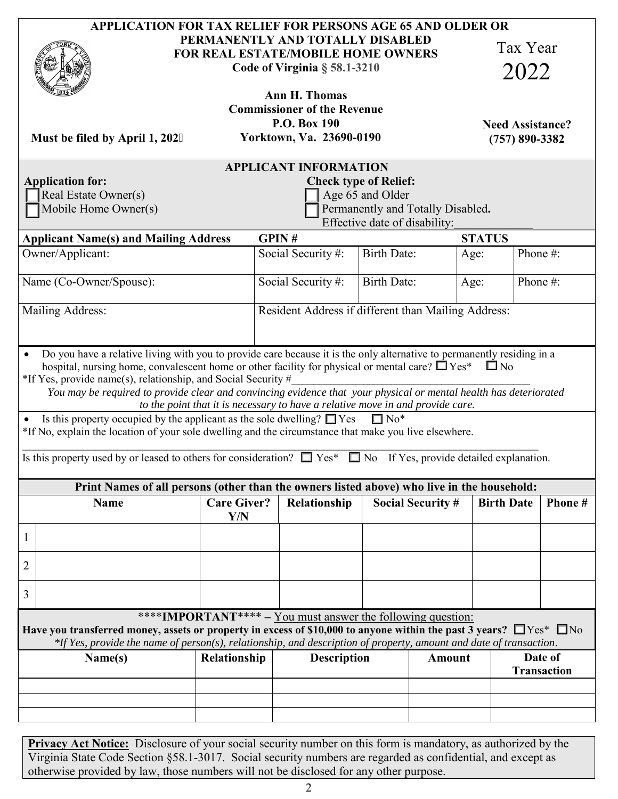|                                                                                                                                                                                                                                                                                                                      |                                                                                                                  |                                                                                                               | <b>APPLICATION FOR TAX RELIEF FOR PERSONS AGE 65 AND OLDER OR</b> |        |                                               |                                          |
|----------------------------------------------------------------------------------------------------------------------------------------------------------------------------------------------------------------------------------------------------------------------------------------------------------------------|------------------------------------------------------------------------------------------------------------------|---------------------------------------------------------------------------------------------------------------|-------------------------------------------------------------------|--------|-----------------------------------------------|------------------------------------------|
|                                                                                                                                                                                                                                                                                                                      | PERMANENTLY AND TOTALLY DISABLED<br><b>FOR REAL ESTATE/MOBILE HOME OWNERS</b><br>Code of Virginia $\S$ 58.1-3210 |                                                                                                               |                                                                   |        | Tax Year<br>2022                              |                                          |
|                                                                                                                                                                                                                                                                                                                      |                                                                                                                  |                                                                                                               |                                                                   |        |                                               |                                          |
| Must be filed by April 1, 2024                                                                                                                                                                                                                                                                                       |                                                                                                                  | <b>Ann H. Thomas</b><br><b>Commissioner of the Revenue</b><br><b>P.O. Box 190</b><br>Yorktown, Va. 23690-0190 |                                                                   |        | <b>Need Assistance?</b><br>$(757) 890 - 3382$ |                                          |
|                                                                                                                                                                                                                                                                                                                      |                                                                                                                  | <b>APPLICANT INFORMATION</b>                                                                                  |                                                                   |        |                                               |                                          |
| <b>Application for:</b>                                                                                                                                                                                                                                                                                              |                                                                                                                  |                                                                                                               | <b>Check type of Relief:</b>                                      |        |                                               |                                          |
| Real Estate Owner(s)<br>Mobile Home Owner(s)                                                                                                                                                                                                                                                                         |                                                                                                                  |                                                                                                               | Age 65 and Older<br>Permanently and Totally Disabled.             |        |                                               |                                          |
|                                                                                                                                                                                                                                                                                                                      |                                                                                                                  |                                                                                                               | Effective date of disability:                                     |        |                                               |                                          |
| <b>Applicant Name(s) and Mailing Address</b>                                                                                                                                                                                                                                                                         |                                                                                                                  | GPIN#                                                                                                         |                                                                   |        | <b>STATUS</b>                                 |                                          |
| Owner/Applicant:                                                                                                                                                                                                                                                                                                     |                                                                                                                  | Social Security#:                                                                                             | <b>Birth Date:</b>                                                | Age:   | Phone#:                                       |                                          |
| Name (Co-Owner/Spouse):                                                                                                                                                                                                                                                                                              |                                                                                                                  | Social Security#:                                                                                             | <b>Birth Date:</b>                                                | Age:   | Phone#:                                       |                                          |
| Mailing Address:                                                                                                                                                                                                                                                                                                     |                                                                                                                  | Resident Address if different than Mailing Address:                                                           |                                                                   |        |                                               |                                          |
| Do you have a relative living with you to provide care because it is the only alternative to permanently residing in a<br>hospital, nursing home, convalescent home or other facility for physical or mental care? $\Box$ Yes*                                                                                       |                                                                                                                  |                                                                                                               |                                                                   |        | $\square$ No                                  |                                          |
| You may be required to provide clear and convincing evidence that your physical or mental health has deteriorated<br>Is this property occupied by the applicant as the sole dwelling? $\Box$ Yes<br>$\bullet$                                                                                                        | to the point that it is necessary to have a relative move in and provide care.                                   |                                                                                                               | $\Box$ No*                                                        |        |                                               |                                          |
|                                                                                                                                                                                                                                                                                                                      | Print Names of all persons (other than the owners listed above) who live in the household:                       |                                                                                                               |                                                                   |        |                                               |                                          |
| <b>Name</b>                                                                                                                                                                                                                                                                                                          | <b>Care Giver?</b><br>Y/N                                                                                        | Relationship                                                                                                  | <b>Social Security #</b>                                          |        | <b>Birth Date</b>                             |                                          |
|                                                                                                                                                                                                                                                                                                                      |                                                                                                                  |                                                                                                               |                                                                   |        |                                               |                                          |
|                                                                                                                                                                                                                                                                                                                      |                                                                                                                  |                                                                                                               |                                                                   |        |                                               |                                          |
| *If Yes, provide name(s), relationship, and Social Security #<br>*If No, explain the location of your sole dwelling and the circumstance that make you live elsewhere.<br>Is this property used by or leased to others for consideration? $\Box$ Yes* $\Box$ No If Yes, provide detailed explanation.<br>1<br>2<br>3 |                                                                                                                  |                                                                                                               |                                                                   |        |                                               |                                          |
|                                                                                                                                                                                                                                                                                                                      | ****IMPORTANT**** – You must answer the following question:                                                      |                                                                                                               |                                                                   |        |                                               |                                          |
| Have you transferred money, assets or property in excess of \$10,000 to anyone within the past 3 years? $\Box$ Yes* $\Box$ No<br>*If Yes, provide the name of person(s), relationship, and description of property, amount and date of transaction.<br>Name(s)                                                       | Relationship                                                                                                     | <b>Description</b>                                                                                            |                                                                   | Amount |                                               | Phone #<br>Date of<br><b>Transaction</b> |
|                                                                                                                                                                                                                                                                                                                      |                                                                                                                  |                                                                                                               |                                                                   |        |                                               |                                          |
|                                                                                                                                                                                                                                                                                                                      |                                                                                                                  |                                                                                                               |                                                                   |        |                                               |                                          |

**Privacy Act Notice:** Disclosure of your social security number on this form is mandatory, as authorized by the Virginia State Code Section §58.1-3017. Social security numbers are regarded as confidential, and except as otherwise provided by law, those numbers will not be disclosed for any other purpose.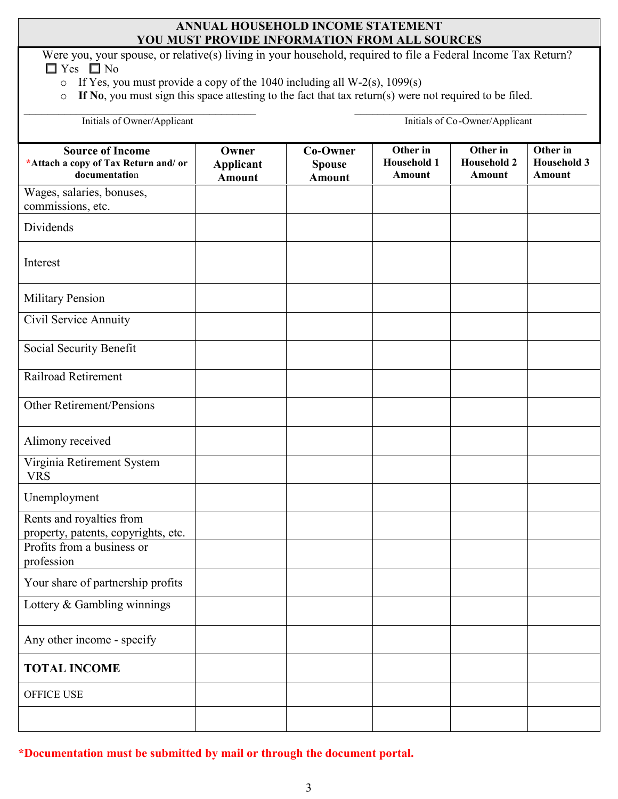## **ANNUAL HOUSEHOLD INCOME STATEMENT YOU MUST PROVIDE INFORMATION FROM ALL SOURCES**

Were you, your spouse, or relative(s) living in your household, required to file a Federal Income Tax Return?  $\Box$  Yes  $\Box$  No

- o If Yes, you must provide a copy of the 1040 including all W-2(s), 1099(s)
- o **If No**, you must sign this space attesting to the fact that tax return(s) were not required to be filed.

\_\_\_\_\_\_\_\_\_\_\_\_\_\_\_\_\_\_\_\_\_\_\_\_\_\_\_\_\_\_\_\_\_\_\_\_\_\_\_\_ \_\_\_\_\_\_\_\_\_\_\_\_\_\_\_\_\_\_\_\_\_\_\_\_\_\_\_\_\_\_\_\_\_\_\_\_\_\_\_\_

| Initials of Owner/Applicant                                                      | Initials of Co-Owner/Applicant             |                                            |                                                 |                                                 |                                          |
|----------------------------------------------------------------------------------|--------------------------------------------|--------------------------------------------|-------------------------------------------------|-------------------------------------------------|------------------------------------------|
| <b>Source of Income</b><br>*Attach a copy of Tax Return and/ or<br>documentation | Owner<br><b>Applicant</b><br><b>Amount</b> | Co-Owner<br><b>Spouse</b><br><b>Amount</b> | Other in<br><b>Household 1</b><br><b>Amount</b> | Other in<br><b>Household 2</b><br><b>Amount</b> | Other in<br><b>Household 3</b><br>Amount |
| Wages, salaries, bonuses,<br>commissions, etc.                                   |                                            |                                            |                                                 |                                                 |                                          |
| Dividends                                                                        |                                            |                                            |                                                 |                                                 |                                          |
| Interest                                                                         |                                            |                                            |                                                 |                                                 |                                          |
| <b>Military Pension</b>                                                          |                                            |                                            |                                                 |                                                 |                                          |
| Civil Service Annuity                                                            |                                            |                                            |                                                 |                                                 |                                          |
| Social Security Benefit                                                          |                                            |                                            |                                                 |                                                 |                                          |
| Railroad Retirement                                                              |                                            |                                            |                                                 |                                                 |                                          |
| <b>Other Retirement/Pensions</b>                                                 |                                            |                                            |                                                 |                                                 |                                          |
| Alimony received                                                                 |                                            |                                            |                                                 |                                                 |                                          |
| Virginia Retirement System<br><b>VRS</b>                                         |                                            |                                            |                                                 |                                                 |                                          |
| Unemployment                                                                     |                                            |                                            |                                                 |                                                 |                                          |
| Rents and royalties from<br>property, patents, copyrights, etc.                  |                                            |                                            |                                                 |                                                 |                                          |
| Profits from a business or<br>profession                                         |                                            |                                            |                                                 |                                                 |                                          |
| Your share of partnership profits                                                |                                            |                                            |                                                 |                                                 |                                          |
| Lottery & Gambling winnings                                                      |                                            |                                            |                                                 |                                                 |                                          |
| Any other income - specify                                                       |                                            |                                            |                                                 |                                                 |                                          |
| <b>TOTAL INCOME</b>                                                              |                                            |                                            |                                                 |                                                 |                                          |
| OFFICE USE                                                                       |                                            |                                            |                                                 |                                                 |                                          |
|                                                                                  |                                            |                                            |                                                 |                                                 |                                          |

**\*Documentation must be submitted by mail or through the document portal.**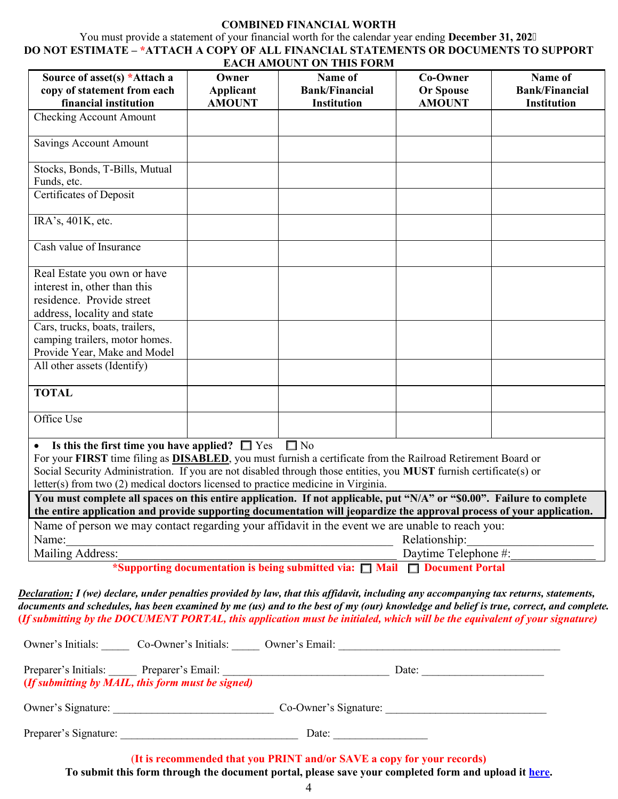#### **COMBINED FINANCIAL WORTH**

You must provide a statement of your financial worth for the calendar year ending **December 31, 202 DO NOT ESTIMATE – \*ATTACH A COPY OF ALL FINANCIAL STATEMENTS OR DOCUMENTS TO SUPPORT EACH AMOUNT ON THIS FORM** 

| EAUN AMUUNTUN THIS FUKM                                                                                                |                                   |                                  |                                     |                                  |  |
|------------------------------------------------------------------------------------------------------------------------|-----------------------------------|----------------------------------|-------------------------------------|----------------------------------|--|
| Source of asset(s) *Attach a                                                                                           | Owner                             | Name of<br><b>Bank/Financial</b> | <b>Co-Owner</b><br><b>Or Spouse</b> | Name of<br><b>Bank/Financial</b> |  |
| copy of statement from each<br>financial institution                                                                   | <b>Applicant</b><br><b>AMOUNT</b> | <b>Institution</b>               | <b>AMOUNT</b>                       | <b>Institution</b>               |  |
| <b>Checking Account Amount</b>                                                                                         |                                   |                                  |                                     |                                  |  |
|                                                                                                                        |                                   |                                  |                                     |                                  |  |
| Savings Account Amount                                                                                                 |                                   |                                  |                                     |                                  |  |
| Stocks, Bonds, T-Bills, Mutual                                                                                         |                                   |                                  |                                     |                                  |  |
| Funds, etc.                                                                                                            |                                   |                                  |                                     |                                  |  |
| <b>Certificates of Deposit</b>                                                                                         |                                   |                                  |                                     |                                  |  |
|                                                                                                                        |                                   |                                  |                                     |                                  |  |
| IRA's, 401K, etc.                                                                                                      |                                   |                                  |                                     |                                  |  |
| Cash value of Insurance                                                                                                |                                   |                                  |                                     |                                  |  |
|                                                                                                                        |                                   |                                  |                                     |                                  |  |
| Real Estate you own or have                                                                                            |                                   |                                  |                                     |                                  |  |
| interest in, other than this                                                                                           |                                   |                                  |                                     |                                  |  |
| residence. Provide street                                                                                              |                                   |                                  |                                     |                                  |  |
| address, locality and state                                                                                            |                                   |                                  |                                     |                                  |  |
| Cars, trucks, boats, trailers,                                                                                         |                                   |                                  |                                     |                                  |  |
| camping trailers, motor homes.                                                                                         |                                   |                                  |                                     |                                  |  |
| Provide Year, Make and Model                                                                                           |                                   |                                  |                                     |                                  |  |
| All other assets (Identify)                                                                                            |                                   |                                  |                                     |                                  |  |
|                                                                                                                        |                                   |                                  |                                     |                                  |  |
| <b>TOTAL</b>                                                                                                           |                                   |                                  |                                     |                                  |  |
| Office Use                                                                                                             |                                   |                                  |                                     |                                  |  |
|                                                                                                                        |                                   |                                  |                                     |                                  |  |
| $\square$ No<br>Is this the first time you have applied? $\Box$ Yes                                                    |                                   |                                  |                                     |                                  |  |
| For your FIRST time filing as <b>DISABLED</b> , you must furnish a certificate from the Railroad Retirement Board or   |                                   |                                  |                                     |                                  |  |
| Social Security Administration. If you are not disabled through those entities, you MUST furnish certificate(s) or     |                                   |                                  |                                     |                                  |  |
| letter(s) from two (2) medical doctors licensed to practice medicine in Virginia.                                      |                                   |                                  |                                     |                                  |  |
| You must complete all spaces on this entire application. If not applicable, put "N/A" or "\$0.00". Failure to complete |                                   |                                  |                                     |                                  |  |
| the entire application and provide supporting documentation will jeopardize the approval process of your application.  |                                   |                                  |                                     |                                  |  |
| Name of person we may contact regarding your affidavit in the event we are unable to reach you:                        |                                   |                                  |                                     |                                  |  |
| Name:                                                                                                                  |                                   |                                  | Relationship:                       |                                  |  |
| Mailing Address:                                                                                                       |                                   |                                  | Daytime Telephone #:                |                                  |  |
| *Supporting documentation is being submitted via: $\Box$ Mail $\Box$ Document Portal                                   |                                   |                                  |                                     |                                  |  |

*Declaration: I (we) declare, under penalties provided by law, that this affidavit, including any accompanying tax returns, statements, documents and schedules, has been examined by me (us) and to the best of my (our) knowledge and belief is true, correct, and complete.* **(***If submitting by the DOCUMENT PORTAL, this application must be initialed, which will be the equivalent of your signature)* 

Owner's Initials: Co-Owner's Initials: \_\_\_\_\_ Owner's Email: \_\_\_\_\_\_\_\_\_\_\_\_\_\_\_\_\_\_\_\_\_ Preparer's Initials: \_\_\_\_\_ Preparer's Email: \_\_\_\_\_\_\_\_\_\_\_\_\_\_\_\_\_\_\_\_\_\_\_\_\_\_\_\_\_\_ Date: \_\_\_\_\_\_\_\_\_\_\_\_\_\_\_\_\_\_\_\_\_\_  **(***If submitting by MAIL, this form must be signed)*  Owner's Signature: \_\_\_\_\_\_\_\_\_\_\_\_\_\_\_\_\_\_\_\_\_\_\_\_\_\_\_\_\_ Co-Owner's Signature: \_\_\_\_\_\_\_\_\_\_\_\_\_\_\_\_\_\_\_\_\_\_\_\_\_\_\_\_\_ Preparer's Signature: \_\_\_\_\_\_\_\_\_\_\_\_\_\_\_\_\_\_\_\_\_\_\_\_\_\_\_\_\_\_\_\_ Date: \_\_\_\_\_\_\_\_\_\_\_\_\_\_\_\_\_ (**It is recommended that you PRINT and/or SAVE a copy for your records)**

**To submit this form through the document portal, please save your completed form and upload it [here.](https://lfportal.yorkcounty.gov/forms/cor-correspondence)**